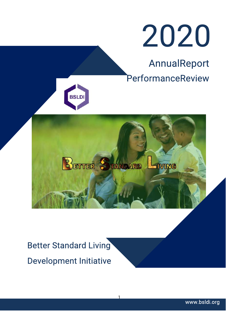

# AnnualReport **PerformanceReview**





# Better Standard Living Development Initiative

1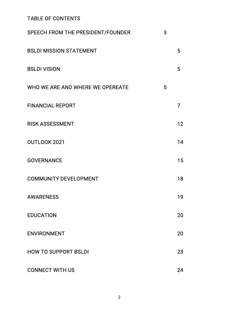# TABLE OF CONTENTS

| SPEECH FROM THE PRESIDENT/FOUNDER | $\overline{3}$ |                |
|-----------------------------------|----------------|----------------|
| <b>BSLDI MISSION STATEMENT</b>    |                | 5              |
| <b>BSLDI VISION</b>               |                | 5              |
| WHO WE ARE AND WHERE WE OPEREATE  | 5              |                |
| <b>FINANCIAL REPORT</b>           |                | $\overline{7}$ |
| <b>RISK ASSESSMENT</b>            |                | 12             |
| OUTLOOK 2021                      |                | 14             |
| <b>GOVERNANCE</b>                 |                | 15             |
| <b>COMMUNITY DEVELOPMENT</b>      |                | 18             |
| <b>AWARENESS</b>                  |                | 19             |
| <b>EDUCATION</b>                  |                | 20             |
| <b>ENVIRONMENT</b>                |                | 20             |
| <b>HOW TO SUPPORT BSLDI</b>       |                | 23             |
| <b>CONNECT WITH US</b>            |                | 24             |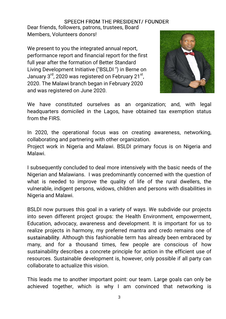# SPEECH FROM THE PRESIDENT/ FOUNDER

Dear friends, followers, patrons, trustees, Board Members, Volunteers donors!

We present to you the integrated annual report, performance report and financial report for the first full year after the formation of Better Standard Living Development Initiative ("BSLDI") in Berne on January 3<sup>rd</sup>, 2020 was registered on February 21<sup>st</sup>, the state of the state of the state of the state of the state of the state of the state of the state of the state of the state of the state of the state of the state o 2020. The Malawi branch began in February 2020 and was registered on June 2020.



We have constituted ourselves as an organization; and, with legal headquarters domiciled in the Lagos, have obtained tax exemption status from the FIRS.

In 2020, the operational focus was on creating awareness, networking, collaborating and partnering with other organization. Project work in Nigeria and Malawi. BSLDI primary focus is on Nigeria and Malawi.

I subsequently concluded to deal more intensively with the basic needs of the Nigerian and Malawians. I was predominantly concerned with the question of what is needed to improve the quality of life of the rural dwellers, the vulnerable, indigent persons, widows, children and persons with disabilities in Nigeria and Malawi.

BSLDI now pursues this goal in a variety of ways. We subdivide our projects into seven different project groups: the Health Environment, empowerment, Education, advocacy, awareness and development. It is important for us to realize projects in harmony, my preferred mantra and credo remains one of sustainability. Although this fashionable term has already been embraced by many, and for a thousand times, few people are conscious of how sustainability describes a concrete principle for action in the efficient use of resources. Sustainable development is, however, only possible if all party can collaborate to actualize this vision.

This leads me to another important point: our team. Large goals can only be achieved together, which is why I am convinced that networking is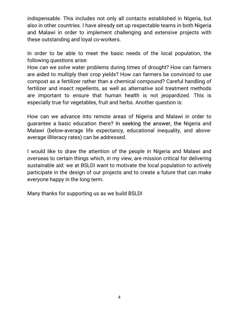indispensable. This includes not only all contacts established in Nigeria, but also in other countries. I have already set up respectable teams in both Nigeria and Malawi in order to implement challenging and extensive projects with these outstanding and loval co-workers.

In order to be able to meet the basic needs of the local population, the following questions arise:

How can we solve water problems during times of drought? How can farmers are aided to multiply their crop yields? How can farmers be convinced to use compost as a fertilizer rather than a chemical compound? Careful handling of fertilizer and insect repellents, as well as alternative soil treatment methods are important to ensure that human health is not ieopardized. This is especially true for vegetables, fruit and herbs. Another question is:

How can we advance into remote areas of Nigeria and Malawi in order to guarantee a basic education there? In seeking the answer, the Nigeria and Malawi (below-average life expectancy, educational inequality, and aboveaverage illiteracy rates) can be addressed.

I would like to draw the attention of the people in Nigeria and Malawi and overseas to certain things which, in my view, are mission critical for delivering sustainable aid: we at BSLDI want to motivate the local population to actively participate in the design of our projects and to create a future that can make everyone happy in the long term.

Many thanks for supporting us as we build BSLDI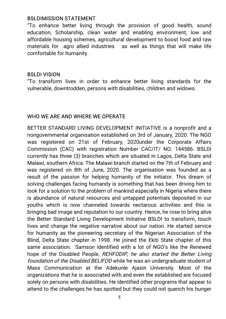#### **BSLDIMISSION STATEMENT**

"To enhance better living through the provision of good health, sound education, Scholarship, clean water and enabling environment, low and affordable housing schemes, agricultural development to boost food and raw materials for agro allied industries as well as things that will make life comfortable for humanity.

#### **BSLDIVISION**

"To transform lives in order to enhance better living standards for the vulnerable, downtrodden, persons with disabilities, children and widows.

# WHO WE ARE AND WHERE WE OPERATE

BETTER STANDARD LIVING DEVELOPMENT INITIATIVE is a nonprofit and a nongovernmental organisation established on 3rd of January, 2020. The NGO was registered on 21st of February, 2020under the Corporate Affairs Commission (CAC) with registration Number CAC/IT/NO. 144586. BSLDI currently has three (3) branches which are situated in Lagos, Delta State and Malawi, southern Africa. The Malawi branch started on the 7th of February and was registered on 8th of June, 2020. The organisation was founded as a result of the passion for helping humanity of the initiator. This dream of solving challenges facing humanity is something that has been driving him to look for a solution to the problem of mankind especially in Nigeria where there is abundance of natural resources and untapped potentials deposited in our youths which is now channeled towards nectarous activities and this is bringing bad image and reputation to our country. Hence, he rose to bring alive the Better Standard Living Development Initiative BSLDI to transform, touch lives and change the negative narrative about our nation. He started service for humanity as the pioneering secretary of the Nigerian Association of the Blind, Delta State chapter in 1998. He joined the Ekiti State chapter of this same association. Samson identified with a lot of NGO's like the Renewed hope of the Disabled People, REHFODIP, he also started the Better Living foundation of the Disabled BELIFOD while he was an undergraduate student of Mass Communication at the Adekunle Ajasin University. Most of the organizations that he is associated with and even the established are focused solely on persons with disabilities. He identified other programs that appear to attend to the challenges he has spotted but they could not quench his hunger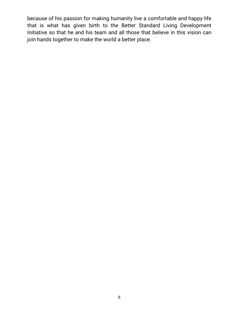because of his passion for making humanity live a comfortable and happy life that is what has given birth to the Better Standard Living Development Initiative so that he and his team and all those that believe in this vision can join hands together to make the world a better place.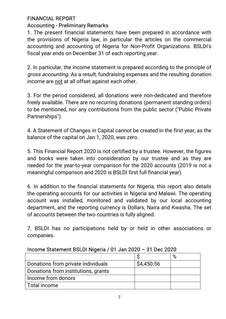# **FINANCIAL REPORT** Accounting - Preliminary Remarks

1. The present financial statements have been prepared in accordance with the provisions of Nigeria law, in particular the articles on the commercial accounting and accounting of Nigeria for Non-Profit Organizations. BSLDI's fiscal year ends on December 31 of each reporting year.

2. In particular, the income statement is prepared according to the principle of gross accounting. As a result, fundraising expenses and the resulting donation income are not at all offset against each other.

3. For the period considered, all donations were non-dedicated and therefore freely available. There are no recurring donations (permanent standing orders) to be mentioned, nor any contributions from the public sector ("Public Private Partnerships").

4. A Statement of Changes in Capital cannot be created in the first year, as the balance of the capital on Jan 1, 2020, was zero.

5. This Financial Report 2020 is not certified by a trustee. However, the figures and books were taken into consideration by our trustee and as they are needed for the year-to-year comparison for the 2020 accounts (2019 is not a meaningful comparison and 2020 is BSLDI first full financial year).

6. In addition to the financial statements for Nigeria, this report also details the operating accounts for our activities in Nigeria and Malawi. The operating account was installed, monitored and validated by our local accounting department, and the reporting currency is Dollars, Naira and Kwasha. The set of accounts between the two countries is fully aligned.

7. BSLDI has no participations held by or held in other associations or companies.

|                                     |            | % |
|-------------------------------------|------------|---|
| Donations from private individuals  | \$4,450.56 |   |
| Donations from institutions, grants |            |   |
| Income from donors                  |            |   |
| Total income                        |            |   |

# Income Statement BSLDI Nigeria / 01 Jan 2020 - 31 Dec 2020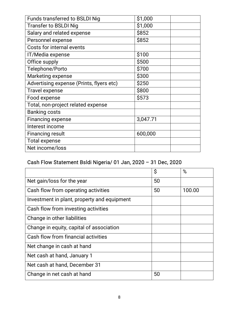| Funds transferred to BSLDI Nig           | \$1,000  |  |
|------------------------------------------|----------|--|
| <b>Transfer to BSLDI Nig</b>             | \$1,000  |  |
| Salary and related expense               | \$852    |  |
| Personnel expense                        | \$852    |  |
| Costs for internal events                |          |  |
| IT/Media expense                         | \$100    |  |
| Office supply                            | \$500    |  |
| Telephone/Porto                          | \$700    |  |
| Marketing expense                        | \$300    |  |
| Advertising expense (Prints, flyers etc) | \$250    |  |
| <b>Travel expense</b>                    | \$800    |  |
| Food expense                             | \$573    |  |
| Total, non-project related expense       |          |  |
| <b>Banking costs</b>                     |          |  |
| <b>Financing expense</b>                 | 3,047.71 |  |
| Interest income                          |          |  |
| <b>Financing result</b>                  | 600,000  |  |
| <b>Total expense</b>                     |          |  |
| Net income/loss                          |          |  |
|                                          |          |  |

# Cash Flow Statement Bsldi Nigeria/ 01 Jan, 2020 - 31 Dec, 2020

|                                             | \$ | %      |
|---------------------------------------------|----|--------|
| Net gain/loss for the year                  | 50 |        |
| Cash flow from operating activities         | 50 | 100.00 |
| Investment in plant, property and equipment |    |        |
| Cash flow from investing activities         |    |        |
| Change in other liabilities                 |    |        |
| Change in equity, capital of association    |    |        |
| Cash flow from financial activities         |    |        |
| Net change in cash at hand                  |    |        |
| Net cash at hand, January 1                 |    |        |
| Net cash at hand, December 31               |    |        |
| Change in net cash at hand                  | 50 |        |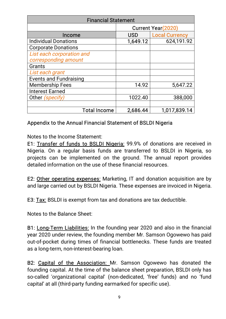| <b>Financial Statement</b>    |                            |                       |
|-------------------------------|----------------------------|-----------------------|
|                               | <b>Current Year (2020)</b> |                       |
| Income                        | <b>USD</b>                 | <b>Local Currency</b> |
| <b>Individual Donations</b>   | 1,649.12                   | 624,191.92            |
| <b>Corporate Donations</b>    |                            |                       |
| List each corporation and     |                            |                       |
| corresponding amount          |                            |                       |
| <b>Grants</b>                 |                            |                       |
| List each grant               |                            |                       |
| <b>Events and Fundraising</b> |                            |                       |
| <b>Membership Fees</b>        | 14.92                      | 5,647.22              |
| <b>Interest Earned</b>        |                            |                       |
| Other (specify)               | 1022.40                    | 388,000               |
|                               |                            |                       |
| <b>Total Income</b>           | 2,686.44                   | 1,017,839.14          |

# Appendix to the Annual Financial Statement of BSLDI Nigeria

Notes to the Income Statement:

E1: Transfer of funds to BSLDI Nigeria: 99.9% of donations are received in Nigeria. On a regular basis funds are transferred to BSLDI in Nigeria, so projects can be implemented on the ground. The annual report provides detailed information on the use of these financial resources.

E2: Other operating expenses: Marketing, IT and donation acquisition are by and large carried out by BSLDI Nigeria. These expenses are invoiced in Nigeria.

E3: Tax: BSLDI is exempt from tax and donations are tax deductible.

Notes to the Balance Sheet:

B1: Long-Term Liabilities: In the founding year 2020 and also in the financial year 2020 under review, the founding member Mr. Samson Ogowewo has paid out-of-pocket during times of financial bottlenecks. These funds are treated as a long-term, non-interest-bearing loan.

B2: Capital of the Association: Mr. Samson Ogowewo has donated the founding capital. At the time of the balance sheet preparation, BSLDI only has so-called 'organizational capital' (non-dedicated, 'free' funds) and no 'fund capital' at all (third-party funding earmarked for specific use).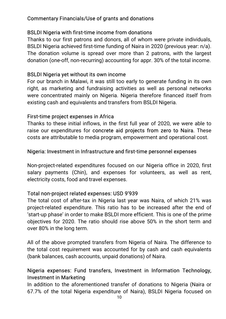# Commentary Financials/Use of grants and donations

# BSLDI Nigeria with first-time income from donations

Thanks to our first patrons and donors, all of whom were private individuals, BSLDI Nigeria achieved first-time funding of Naira in 2020 (previous year: n/a). The donation volume is spread over more than 2 patrons, with the largest donation (one-off, non-recurring) accounting for appr. 30% of the total income.

# BSLDI Nigeria yet without its own income

For our branch in Malawi, it was still too early to generate funding in its own right, as marketing and fundraising activities as well as personal networks were concentrated mainly on Nigeria. Nigeria therefore financed itself from existing cash and equivalents and transfers from BSLDI Nigeria.

# First-time project expenses in Africa

Thanks to these initial inflows, in the first full year of 2020, we were able to raise our expenditures for concrete aid projects from zero to Naira. These costs are attributable to media program, empowerment and operational cost.

# Nigeria: Investment in Infrastructure and first-time personnel expenses

Non-project-related expenditures focused on our Nigeria office in 2020, first salary payments (Chin), and expenses for volunteers, as well as rent, electricity costs, food and travel expenses.

# Total non-project related expenses: USD 9'939

The total cost of after-tax in Nigeria last year was Naira, of which 21% was project-related expenditure. This ratio has to be increased after the end of 'start-up phase' in order to make BSLDI more efficient. This is one of the prime objectives for 2020. The ratio should rise above 50% in the short term and over 80% in the long term.

All of the above prompted transfers from Nigeria of Naira. The difference to the total cost requirement was accounted for by cash and cash equivalents (bank balances, cash accounts, unpaid donations) of Naira.

# Nigeria expenses: Fund transfers, Investment in Information Technology, Investment in Marketing

In addition to the aforementioned transfer of donations to Nigeria (Naira or 67.7% of the total Nigeria expenditure of Naira), BSLDI Nigeria focused on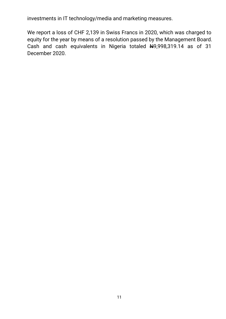investments in IT technology/media and marketing measures.

We report a loss of CHF 2,139 in Swiss Francs in 2020, which was charged to equity for the year by means of a resolution passed by the Management Board. Cash and cash equivalents in Nigeria totaled  $\text{A}9,998,319.14$  as of 31 December 2020.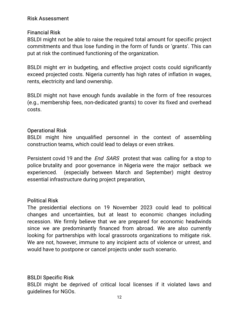# RiskAssessment

# **Financial Risk**

BSLDI might not be able to raise the required total amount for specific project commitments and thus lose funding in the form of funds or 'grants'. This can put at risk the continued functioning of the organization.

BSLDI might err in budgeting, and effective project costs could significantly exceed projected costs. Nigeria currently has high rates of inflation in wages, rents, electricity and land ownership.

BSLDI might not have enough funds available in the form of free resources (e.g., membership fees, non-dedicated grants) to cover its fixed and overhead costs. The cost of the cost of the cost of the cost of the cost of the cost of the cost of the cost of the cos

#### **Operational Risk**

BSLDI might hire unqualified personnel in the context of assembling construction teams, which could lead to delays or even strikes.

Persistent covid 19 and the *End SARS* protest that was calling for a stop to police brutality and poor governance in Nigeria were the major setback we experienced. (especially between March and September) might destroy essential infrastructure during project preparation,

#### **Political Risk**

The presidential elections on 19 November 2023 could lead to political changes and uncertainties, but at least to economic changes including recession. We firmly believe that we are prepared for economic headwinds since we are predominantly financed from abroad. We are also currently looking for partnerships with local grassroots organizations to mitigate risk. We are not, however, immune to any incipient acts of violence or unrest, and would have to postpone or cancel projects under such scenario.

# **BSLDI Specific Risk**

BSLDI might be deprived of critical local licenses if it violated laws and guidelines for NGOs.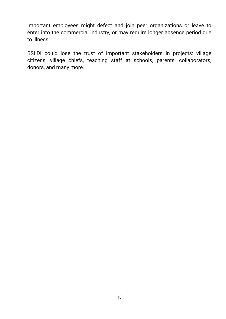Important employees might defect and join peer organizations or leave to enter into the commercial industry, or may require longer absence period due to illness.

BSLDI could lose the trust of important stakeholders in projects: village citizens, village chiefs, teaching staff at schools, parents, collaborators, donors, and many more.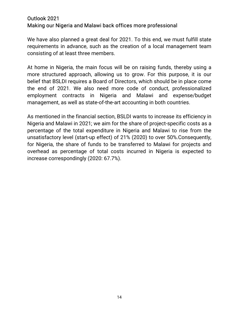# Outlook 2021 Making our Nigeria and Malawi back offices more professional

We have also planned a great deal for 2021. To this end, we must fulfill state requirements in advance, such as the creation of a local management team consisting of at least three members.

At home in Nigeria, the main focus will be on raising funds, thereby using a more structured approach, allowing us to grow. For this purpose, it is our belief that BSLDI requires a Board of Directors, which should be in place come the end of 2021. We also need more code of conduct, professionalized Nigeria and Malawi and expense/budget employment contracts in management, as well as state-of-the-art accounting in both countries.

As mentioned in the financial section, BSLDI wants to increase its efficiency in Nigeria and Malawi in 2021; we aim for the share of project-specific costs as a percentage of the total expenditure in Nigeria and Malawi to rise from the unsatisfactory level (start-up effect) of 21% (2020) to over 50%. Consequently, for Nigeria, the share of funds to be transferred to Malawi for projects and overhead as percentage of total costs incurred in Nigeria is expected to increase correspondingly (2020: 67.7%).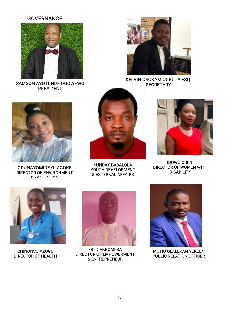#### **GOVERNANCE COVERNANCE**



SAMSON AYOTUNDE OGOWEWO PRESIDENT



KELVIN OSOKAM OGBUTA ESQ. **SECRETARY** 



ODUNAYOMIDE OLAGOKE DIRECTOR OF ENVIRONMENT &SANITATION



SUNDAY BABALOLA YOUTH DEVELOPMENT &EXTERNALAFFAIRS



**IDOWU OSENI** DIRECTOR OF WOMEN WITH **DISABILITY** 



DIRECTOR OF HEALTH



CHINONSO AZOGU FRED AKPOMERA FRED AKPOMERA<br>FAR AF ELIDOVIED IEUT DIRECTOR OF EMPOWERMENT &ENTREPRENEUR



PUBLIC RELATION OFFICER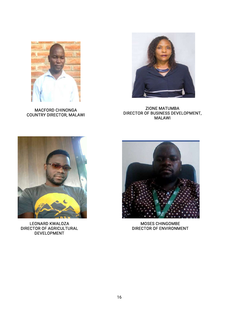

**MACFORD CHINONGA** COUNTRY DIRECTOR, MALAWI



**ZIONE MATUMBA** DIRECTOR OF BUSINESS DEVELOPMENT, MALAWI



LEONARD KWALOZA DIRECTOR OF AGRICULTURAL **DEVELOPMENT** 



MOSES CHINGOMBE DIRECTOR OF ENVIRONMENT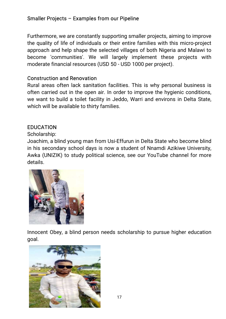# Smaller Projects – Examples from our Pipeline

Furthermore, we are constantly supporting smaller projects, aiming to improve the quality of life of individuals or their entire families with this micro-project approach and help shape the selected villages of both Nigeria and Malawi to become 'communities'. We will largely implement these projects with moderate financial resources (USD 50 - USD 1000 per project).

#### **Construction and Renovation**

Rural areas often lack sanitation facilities. This is why personal business is often carried out in the open air. In order to improve the hygienic conditions, we want to build a toilet facility in Jeddo, Warri and environs in Delta State, which will be available to thirty families.

#### **EDUCATION**

Scholarship:

Joachim, a blind young man from Usi-Effurun in Delta State who become blind in his secondary school days is now a student of Nnamdi Azikiwe University, Awka (UNIZIK) to study political science, see our YouTube channel for more details.



Innocent Obey, a blind person needs scholarship to pursue higher education goal.

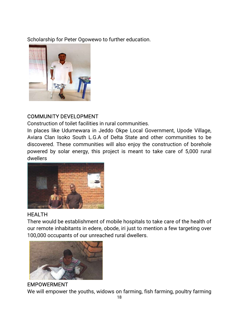Scholarship for Peter Ogowewo to further education.



# **COMMUNITY DEVELOPMENT**

Construction of toilet facilities in rural communities.

In places like Udumewara in Jeddo Okpe Local Government, Upode Village, Aviara Clan Isoko South L.G.A of Delta State and other communities to be discovered. These communities will also enjoy the construction of borehole powered by solar energy, this project is meant to take care of 5,000 rural dwellers



# **HEALTH**

There would be establishment of mobile hospitals to take care of the health of our remote inhabitants in edere, obode, iri just to mention a few targeting over 100,000 occupants of our unreached rural dwellers.



# **EMPOWERMENT**

We will empower the youths, widows on farming, fish farming, poultry farming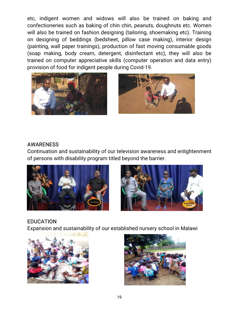etc, indigent women and widows will also be trained on baking and confectioneries such as baking of chin chin, peanuts, doughnuts etc. Women will also be trained on fashion designing (tailoring, shoemaking etc). Training on designing of beddings (bedsheet, pillow case making), interior design (painting, wall paper trainings), production of fast moving consumable goods (soap making, body cream, detergent, disinfectant etc), they will also be trained on computer appreciative skills (computer operation and data entry) provision of food for indigent people during Covid-19.





# AWARENESS

Continuation and sustainability of our television awareness and enlightenment of persons with disability program titled beyond the barrier.



# EDUCATION

Expansion and sustainability of our established nursery school in Malawi



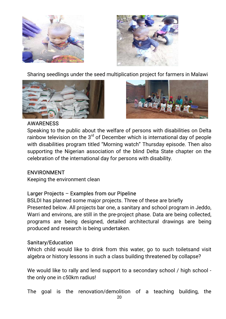



Sharing seedlings under the seed multiplication project for farmers in Malawi





# AWARENESS

Speaking to the public about the welfare of persons with disabilities on Delta rainbow television on the 3<sup>rd</sup> of December which is international day of people with disabilities program titled "Morning watch" Thursday episode. Then also supporting the Nigerian association of the blind Delta State chapter on the celebration of the international day for persons with disability.

# ENVIRONMENT

Keeping the environment clean

#### Larger Projects – Examples from our Pipeline

BSLDI has planned some major projects. Three of these are briefly Presented below. All projects bar one, a sanitary and school program in Jeddo, Warri and environs, are still in the pre-project phase. Data are being collected, programs are being designed, detailed architectural drawings are being produced and research is being undertaken.

#### Sanitary/Education

Which child would like to drink from this water, go to such toiletsand visit algebra or history lessons in such a class building threatened by collapse?

We would like to rally and lend support to a secondary school / high school the only one in c50km radius!

The goal is the renovation/demolition of a teaching building, the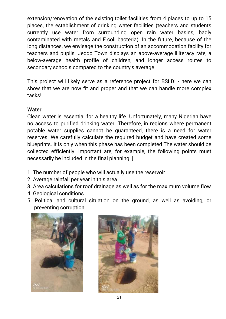extension/renovation of the existing toilet facilities from 4 places to up to 15 places, the establishment of drinking water facilities (teachers and students currently use water from surrounding open rain water basins, badly contaminated with metals and E.coli bacteria). In the future, because of the long distances, we envisage the construction of an accommodation facility for teachers and pupils. Jeddo Town displays an above-average illiteracy rate, a below-average health profile of children, and longer access routes to secondary schools compared to the country's average.

This project will likely serve as a reference project for BSLDI - here we can show that we are now fit and proper and that we can handle more complex tasks!

#### **Water**

Clean water is essential for a healthy life. Unfortunately, many Nigerian have no access to purified drinking water. Therefore, in regions where permanent potable water supplies cannot be quaranteed, there is a need for water reserves. We carefully calculate the required budget and have created some blueprints. It is only when this phase has been completed The water should be collected efficiently. Important are, for example, the following points must necessarily be included in the final planning: ]

- 1. The number of people who will actually use the reservoir
- 2. Average rainfall per year in this area
- 3. Area calculations for roof drainage as well as for the maximum volume flow
- 4. Geological conditions
- 5. Political and cultural situation on the ground, as well as avoiding, or preventing corruption.



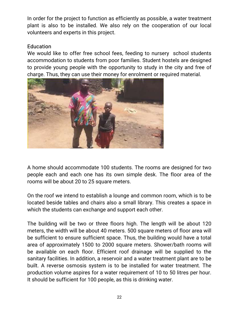In order for the project to function as efficiently as possible, a water treatment plant is also to be installed. We also rely on the cooperation of our local volunteers and experts in this project.

# **Education**

We would like to offer free school fees, feeding to nursery school students accommodation to students from poor families. Student hostels are designed to provide young people with the opportunity to study in the city and free of charge. Thus, they can use their money for enrolment or required material.



A home should accommodate 100 students. The rooms are designed for two people each and each one has its own simple desk. The floor area of the rooms will be about 20 to 25 square meters.

On the roof we intend to establish a lounge and common room, which is to be located beside tables and chairs also a small library. This creates a space in which the students can exchange and support each other.

The building will be two or three floors high. The length will be about 120 meters, the width will be about 40 meters. 500 square meters of floor area will be sufficient to ensure sufficient space. Thus, the building would have a total area of approximately 1500 to 2000 square meters. Shower/bath rooms will be available on each floor. Efficient roof drainage will be supplied to the sanitary facilities. In addition, a reservoir and a water treatment plant are to be built. A reverse osmosis system is to be installed for water treatment. The production volume aspires for a water requirement of 10 to 50 litres per hour. It should be sufficient for 100 people, as this is drinking water.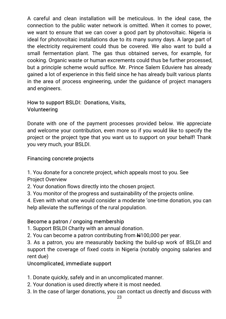A careful and clean installation will be meticulous. In the ideal case, the connection to the public water network is omitted. When it comes to power, we want to ensure that we can cover a good part by photovoltaic. Nigeria is ideal for photovoltaic installations due to its many sunny days. A large part of the electricity requirement could thus be covered. We also want to build a small fermentation plant. The gas thus obtained serves, for example, for cooking. Organic waste or human excrements could thus be further processed, but a principle scheme would suffice. Mr. Prince Salem Eduviere has already gained a lot of experience in this field since he has already built various plants in the area of process engineering, under the guidance of project managers and engineers.

# How to support BSLDI: Donations, Visits, Volunteering

Donate with one of the payment processes provided below. We appreciate and welcome your contribution, even more so if you would like to specify the project or the project type that you want us to support on your behalf! Thank you very much, your BSLDI.

# Financing concrete projects

1. You donate for a concrete project, which appeals most to you. See **Project Overview** 

- 2. Your donation flows directly into the chosen project.
- 3. You monitor of the progress and sustainability of the projects online.

4. Even with what one would consider a moderate 'one-time donation, you can help alleviate the sufferings of the rural population.

# Become a patron / ongoing membership

1. Support BSLDI Charity with an annual donation.

2. You can become a patron contributing from  $\#100,000$  per year.

3. As a patron, you are measurably backing the build-up work of BSLDI and support the coverage of fixed costs in Nigeria (notably ongoing salaries and rent due)

# Uncomplicated, immediate support

- 1. Donate quickly, safely and in an uncomplicated manner.
- 2. Your donation is used directly where it is most needed.
- 3. In the case of larger donations, you can contact us directly and discuss with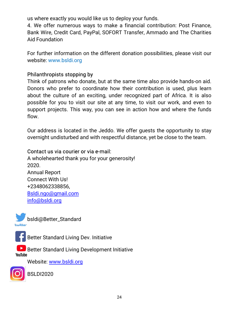us where exactly you would like us to deploy your funds.

4. We offer numerous ways to make a financial contribution: Post Finance, Bank Wire, Credit Card, PayPal, SOFORT Transfer, Ammado and The Charities **Aid Foundation** 

For further information on the different donation possibilities, please visit our website:www.bsldi.org

# Philanthropists stopping by

Think of patrons who donate, but at the same time also provide hands-on aid. Donors who prefer to coordinate how their contribution is used, plus learn about the culture of an exciting, under recognized part of Africa. It is also possible for you to visit our site at any time, to visit our work, and even to support projects. This way, you can see in action how and where the funds flow.

Our address is located in the Jeddo. We offer quests the opportunity to stay overnight undisturbed and with respectful distance, yet be close to the team.

# Contact us via courier or via e-mail:

A wholehearted thank you for your generosity! 2020. **Annual Report** Connect With Us! +2348062338856, Bsldi.ngo@gmail.com info@bsldi.org



Better Standard Living Dev. Initiative

Better Standard Living Development Initiative YouTube

Website: www.bsldi.org



BSLDI2020